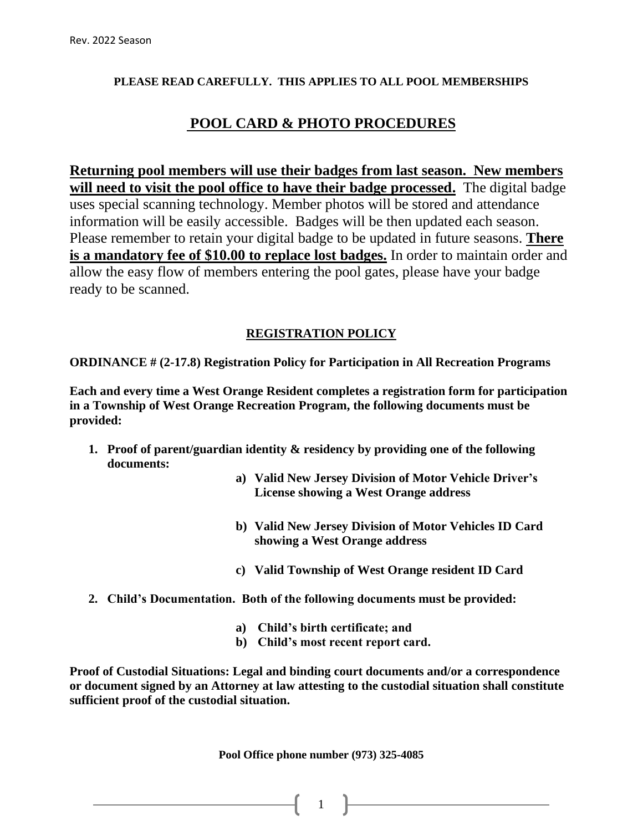#### **PLEASE READ CAREFULLY. THIS APPLIES TO ALL POOL MEMBERSHIPS**

## **POOL CARD & PHOTO PROCEDURES**

**Returning pool members will use their badges from last season. New members**  will need to visit the pool office to have their badge processed. The digital badge uses special scanning technology. Member photos will be stored and attendance information will be easily accessible. Badges will be then updated each season. Please remember to retain your digital badge to be updated in future seasons. **There is a mandatory fee of \$10.00 to replace lost badges.** In order to maintain order and allow the easy flow of members entering the pool gates, please have your badge ready to be scanned.

### **REGISTRATION POLICY**

**ORDINANCE # (2-17.8) Registration Policy for Participation in All Recreation Programs** 

**Each and every time a West Orange Resident completes a registration form for participation in a Township of West Orange Recreation Program, the following documents must be provided:**

- **1. Proof of parent/guardian identity & residency by providing one of the following documents:** 
	- **a) Valid New Jersey Division of Motor Vehicle Driver's License showing a West Orange address**
	- **b) Valid New Jersey Division of Motor Vehicles ID Card showing a West Orange address**
	- **c) Valid Township of West Orange resident ID Card**
- **2. Child's Documentation. Both of the following documents must be provided:**
	- **a) Child's birth certificate; and**
	- **b) Child's most recent report card.**

**Proof of Custodial Situations: Legal and binding court documents and/or a correspondence or document signed by an Attorney at law attesting to the custodial situation shall constitute sufficient proof of the custodial situation.**

**Pool Office phone number (973) 325-4085**

 $\begin{array}{ccc} 1 & 1 \end{array}$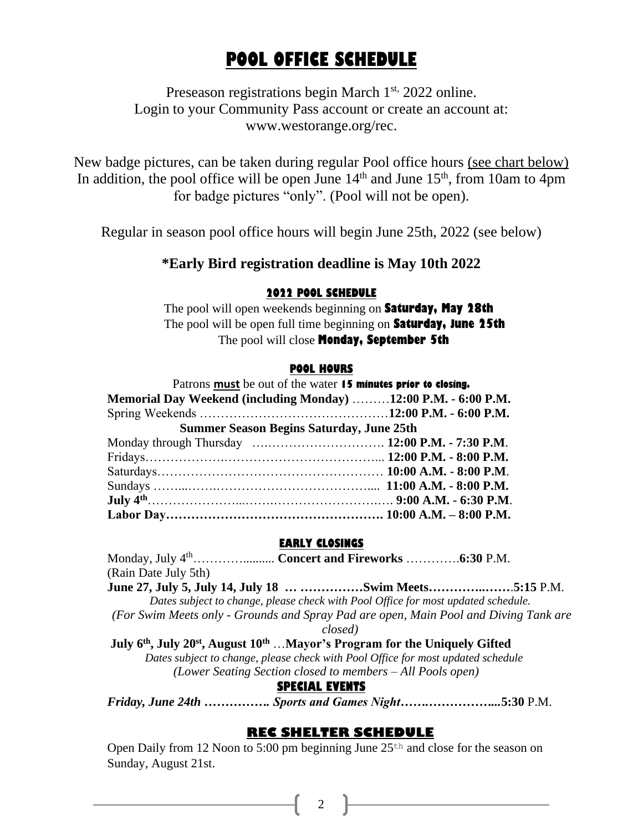# **POOL OFFICE SCHEDULE**

Preseason registrations begin March 1<sup>st,</sup> 2022 online. Login to your Community Pass account or create an account at: www.westorange.org/rec.

New badge pictures, can be taken during regular Pool office hours (see chart below) In addition, the pool office will be open June  $14<sup>th</sup>$  and June  $15<sup>th</sup>$ , from 10am to 4pm for badge pictures "only". (Pool will not be open).

Regular in season pool office hours will begin June 25th, 2022 (see below)

## **\*Early Bird registration deadline is May 10th 2022**

#### **2022 POOL SCHEDULE**

 The pool will open weekends beginning on **Saturday, May 28th** The pool will be open full time beginning on **Saturday, June 25th** The pool will close **Monday, September 5th**

#### **POOL HOURS**

| Patrons must be out of the water 15 minutes prior to closing.  |  |
|----------------------------------------------------------------|--|
| Memorial Day Weekend (including Monday) 12:00 P.M. - 6:00 P.M. |  |
|                                                                |  |
| <b>Summer Season Begins Saturday, June 25th</b>                |  |
|                                                                |  |
|                                                                |  |
|                                                                |  |
|                                                                |  |
|                                                                |  |
|                                                                |  |

#### **EARLY CLOSINGS**

Monday, July 4th………….......... **Concert and Fireworks** ………….**6:30** P.M. (Rain Date July 5th) **June 27, July 5, July 14, July 18 … ……………Swim Meets…………..……**.**5:15** P.M. *Dates subject to change, please check with Pool Office for most updated schedule. (For Swim Meets only - Grounds and Spray Pad are open, Main Pool and Diving Tank are closed)* **July 6 th, July 20 st, August 10 th** …**Mayor's Program for the Uniquely Gifted**  *Dates subject to change, please check with Pool Office for most updated schedule (Lower Seating Section closed to members – All Pools open)* **SPECIAL EVENTS** *Friday, June 24th ……………. Sports and Games Night…….……………...***5:30** P.M.

## **REC SHELTER SCHEDULE**

Open Daily from 12 Noon to 5:00 pm beginning June  $25<sup>th</sup>$  and close for the season on Sunday, August 21st.

2  $\parallel$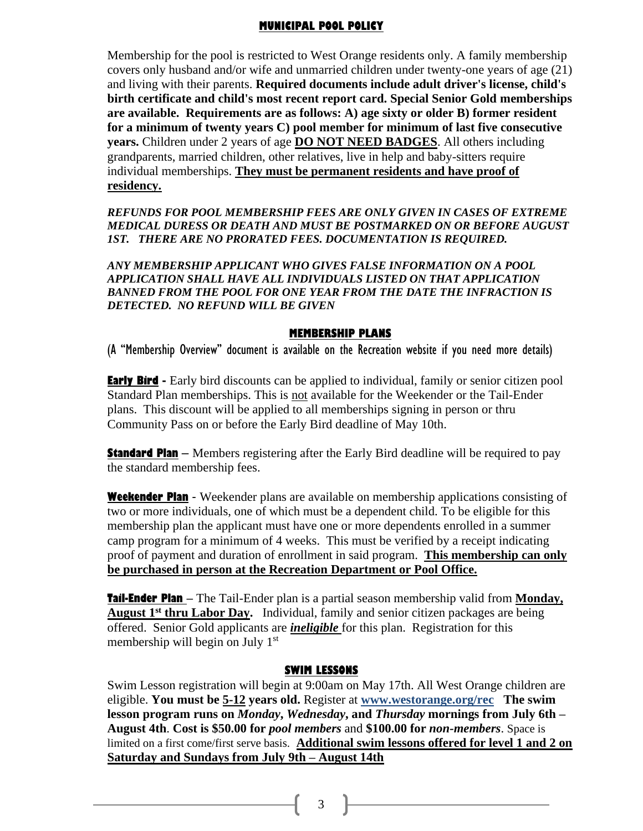#### **MUNICIPAL POOL POLICY**

Membership for the pool is restricted to West Orange residents only. A family membership covers only husband and/or wife and unmarried children under twenty-one years of age (21) and living with their parents. **Required documents include adult driver's license, child's birth certificate and child's most recent report card. Special Senior Gold memberships are available. Requirements are as follows: A) age sixty or older B) former resident for a minimum of twenty years C) pool member for minimum of last five consecutive years.** Children under 2 years of age **DO NOT NEED BADGES**. All others including grandparents, married children, other relatives, live in help and baby-sitters require individual memberships. **They must be permanent residents and have proof of residency.**

*REFUNDS FOR POOL MEMBERSHIP FEES ARE ONLY GIVEN IN CASES OF EXTREME MEDICAL DURESS OR DEATH AND MUST BE POSTMARKED ON OR BEFORE AUGUST 1ST. THERE ARE NO PRORATED FEES. DOCUMENTATION IS REQUIRED.*

*ANY MEMBERSHIP APPLICANT WHO GIVES FALSE INFORMATION ON A POOL APPLICATION SHALL HAVE ALL INDIVIDUALS LISTED ON THAT APPLICATION BANNED FROM THE POOL FOR ONE YEAR FROM THE DATE THE INFRACTION IS DETECTED. NO REFUND WILL BE GIVEN*

#### **MEMBERSHIP PLANS**

(A "Membership Overview" document is available on the Recreation website if you need more details)

**Early Bird** - Early bird discounts can be applied to individual, family or senior citizen pool Standard Plan memberships. This is not available for the Weekender or the Tail-Ender plans. This discount will be applied to all memberships signing in person or thru Community Pass on or before the Early Bird deadline of May 10th.

**Standard Plan** – Members registering after the Early Bird deadline will be required to pay the standard membership fees.

**Weekender Plan** - Weekender plans are available on membership applications consisting of two or more individuals, one of which must be a dependent child. To be eligible for this membership plan the applicant must have one or more dependents enrolled in a summer camp program for a minimum of 4 weeks. This must be verified by a receipt indicating proof of payment and duration of enrollment in said program. **This membership can only be purchased in person at the Recreation Department or Pool Office.**

**Tail-Ender Plan** – The Tail-Ender plan is a partial season membership valid from **Monday,** August 1<sup>st</sup> thru Labor Day. Individual, family and senior citizen packages are being offered. Senior Gold applicants are *ineligible* for this plan. Registration for this membership will begin on July 1<sup>st</sup>

#### **SWIM LESSONS**

Swim Lesson registration will begin at 9:00am on May 17th. All West Orange children are eligible. **You must be 5-12 years old.** Register at **www.westorange.org/rec The swim lesson program runs on** *Monday***,** *Wednesday***, and** *Thursday* **mornings from July 6th – August 4th**. **Cost is \$50.00 for** *pool members* and **\$100.00 for** *non-members*. Space is limited on a first come/first serve basis. **Additional swim lessons offered for level 1 and 2 on Saturday and Sundays from July 9th – August 14th**

3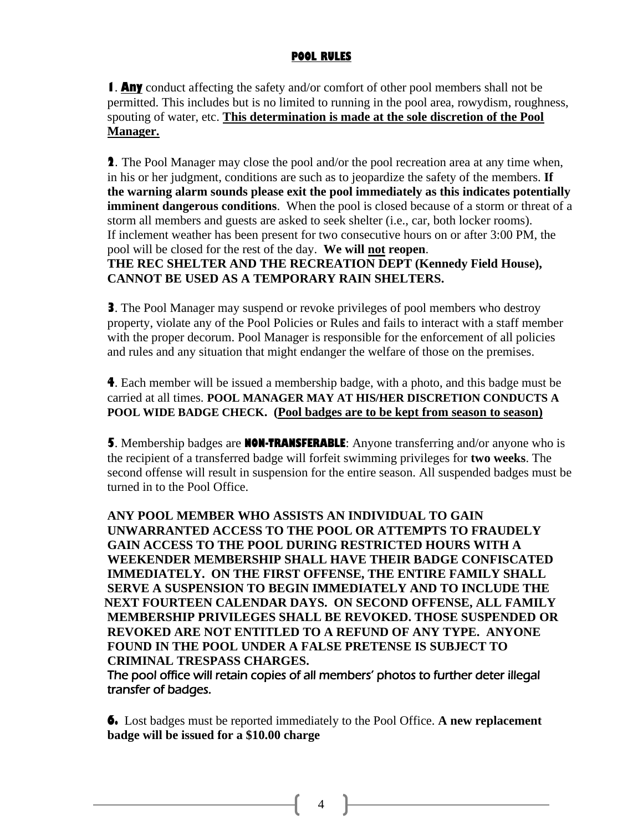## **POOL RULES**

**1**. **Any** conduct affecting the safety and/or comfort of other pool members shall not be permitted. This includes but is no limited to running in the pool area, rowydism, roughness, spouting of water, etc. **This determination is made at the sole discretion of the Pool Manager.**

**2**. The Pool Manager may close the pool and/or the pool recreation area at any time when, in his or her judgment, conditions are such as to jeopardize the safety of the members. **If the warning alarm sounds please exit the pool immediately as this indicates potentially imminent dangerous conditions**. When the pool is closed because of a storm or threat of a storm all members and guests are asked to seek shelter (i.e., car, both locker rooms). If inclement weather has been present for two consecutive hours on or after 3:00 PM, the pool will be closed for the rest of the day. **We will not reopen**.

**THE REC SHELTER AND THE RECREATION DEPT (Kennedy Field House), CANNOT BE USED AS A TEMPORARY RAIN SHELTERS.**

**3**. The Pool Manager may suspend or revoke privileges of pool members who destroy property, violate any of the Pool Policies or Rules and fails to interact with a staff member with the proper decorum. Pool Manager is responsible for the enforcement of all policies and rules and any situation that might endanger the welfare of those on the premises.

**4**. Each member will be issued a membership badge, with a photo, and this badge must be carried at all times. **POOL MANAGER MAY AT HIS/HER DISCRETION CONDUCTS A POOL WIDE BADGE CHECK. (Pool badges are to be kept from season to season)**

**5**. Membership badges are **NON-TRANSFERABLE**: Anyone transferring and/or anyone who is the recipient of a transferred badge will forfeit swimming privileges for **two weeks**. The second offense will result in suspension for the entire season. All suspended badges must be turned in to the Pool Office.

 **ANY POOL MEMBER WHO ASSISTS AN INDIVIDUAL TO GAIN UNWARRANTED ACCESS TO THE POOL OR ATTEMPTS TO FRAUDELY GAIN ACCESS TO THE POOL DURING RESTRICTED HOURS WITH A WEEKENDER MEMBERSHIP SHALL HAVE THEIR BADGE CONFISCATED IMMEDIATELY. ON THE FIRST OFFENSE, THE ENTIRE FAMILY SHALL SERVE A SUSPENSION TO BEGIN IMMEDIATELY AND TO INCLUDE THE NEXT FOURTEEN CALENDAR DAYS. ON SECOND OFFENSE, ALL FAMILY MEMBERSHIP PRIVILEGES SHALL BE REVOKED. THOSE SUSPENDED OR REVOKED ARE NOT ENTITLED TO A REFUND OF ANY TYPE. ANYONE FOUND IN THE POOL UNDER A FALSE PRETENSE IS SUBJECT TO CRIMINAL TRESPASS CHARGES.**

The pool office will retain copies of all members' photos to further deter illegal transfer of badges.

**6.** Lost badges must be reported immediately to the Pool Office. **A new replacement badge will be issued for a \$10.00 charge**

4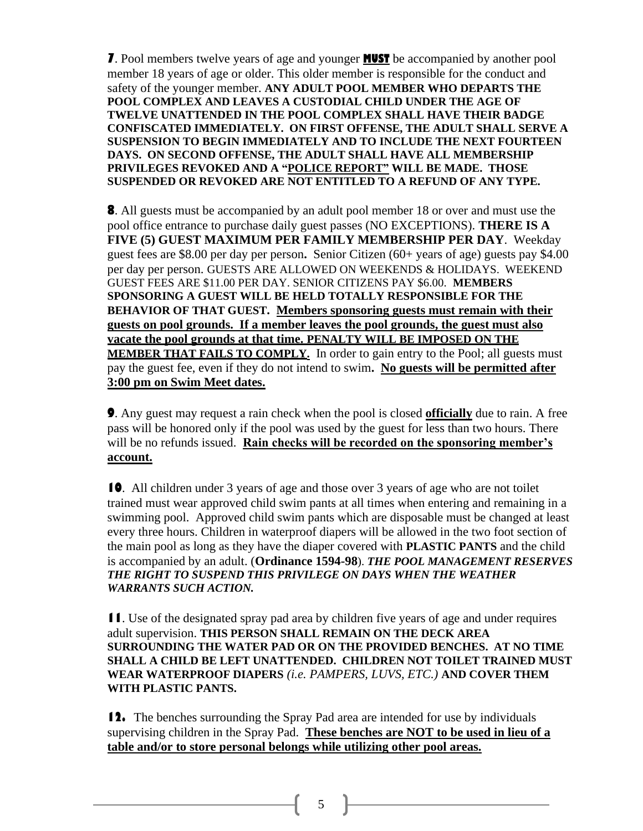**7**. Pool members twelve years of age and younger **MUST** be accompanied by another pool member 18 years of age or older. This older member is responsible for the conduct and safety of the younger member. **ANY ADULT POOL MEMBER WHO DEPARTS THE POOL COMPLEX AND LEAVES A CUSTODIAL CHILD UNDER THE AGE OF TWELVE UNATTENDED IN THE POOL COMPLEX SHALL HAVE THEIR BADGE CONFISCATED IMMEDIATELY. ON FIRST OFFENSE, THE ADULT SHALL SERVE A SUSPENSION TO BEGIN IMMEDIATELY AND TO INCLUDE THE NEXT FOURTEEN DAYS. ON SECOND OFFENSE, THE ADULT SHALL HAVE ALL MEMBERSHIP PRIVILEGES REVOKED AND A "POLICE REPORT" WILL BE MADE. THOSE SUSPENDED OR REVOKED ARE NOT ENTITLED TO A REFUND OF ANY TYPE.**

**8**. All guests must be accompanied by an adult pool member 18 or over and must use the pool office entrance to purchase daily guest passes (NO EXCEPTIONS). **THERE IS A FIVE (5) GUEST MAXIMUM PER FAMILY MEMBERSHIP PER DAY**. Weekday guest fees are \$8.00 per day per person**.** Senior Citizen (60+ years of age) guests pay \$4.00 per day per person. GUESTS ARE ALLOWED ON WEEKENDS & HOLIDAYS. WEEKEND GUEST FEES ARE \$11.00 PER DAY. SENIOR CITIZENS PAY \$6.00. **MEMBERS SPONSORING A GUEST WILL BE HELD TOTALLY RESPONSIBLE FOR THE BEHAVIOR OF THAT GUEST. Members sponsoring guests must remain with their guests on pool grounds. If a member leaves the pool grounds, the guest must also vacate the pool grounds at that time. PENALTY WILL BE IMPOSED ON THE MEMBER THAT FAILS TO COMPLY.** In order to gain entry to the Pool; all guests must pay the guest fee, even if they do not intend to swim**. No guests will be permitted after 3:00 pm on Swim Meet dates.**

**9**. Any guest may request a rain check when the pool is closed **officially** due to rain. A free pass will be honored only if the pool was used by the guest for less than two hours. There will be no refunds issued. **Rain checks will be recorded on the sponsoring member's account.**

**10**. All children under 3 years of age and those over 3 years of age who are not toilet trained must wear approved child swim pants at all times when entering and remaining in a swimming pool. Approved child swim pants which are disposable must be changed at least every three hours. Children in waterproof diapers will be allowed in the two foot section of the main pool as long as they have the diaper covered with **PLASTIC PANTS** and the child is accompanied by an adult. (**Ordinance 1594-98**). *THE POOL MANAGEMENT RESERVES THE RIGHT TO SUSPEND THIS PRIVILEGE ON DAYS WHEN THE WEATHER WARRANTS SUCH ACTION.*

**11**. Use of the designated spray pad area by children five years of age and under requires adult supervision. **THIS PERSON SHALL REMAIN ON THE DECK AREA SURROUNDING THE WATER PAD OR ON THE PROVIDED BENCHES. AT NO TIME SHALL A CHILD BE LEFT UNATTENDED. CHILDREN NOT TOILET TRAINED MUST WEAR WATERPROOF DIAPERS** *(i.e. PAMPERS, LUVS, ETC.)* **AND COVER THEM WITH PLASTIC PANTS.** 

**12.** The benches surrounding the Spray Pad area are intended for use by individuals supervising children in the Spray Pad. **These benches are NOT to be used in lieu of a table and/or to store personal belongs while utilizing other pool areas.**

5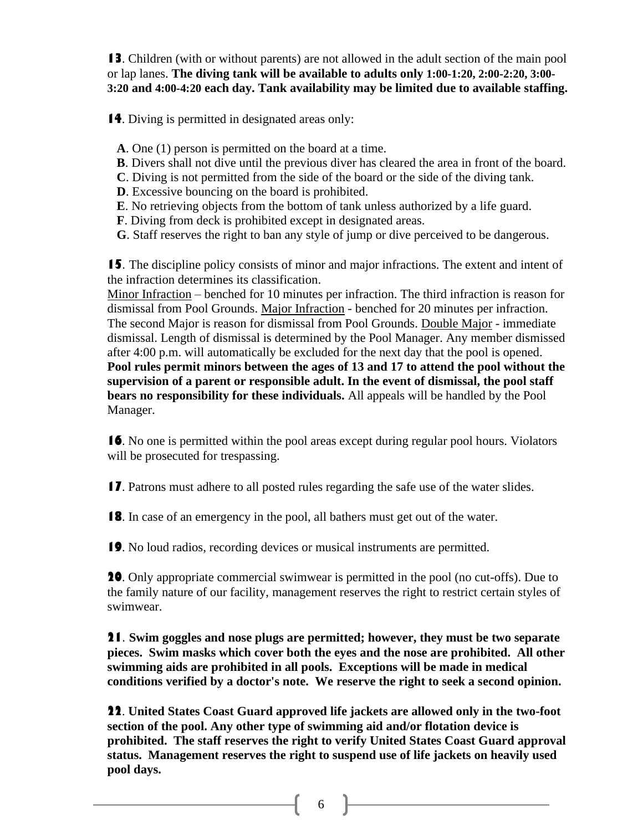**13**. Children (with or without parents) are not allowed in the adult section of the main pool or lap lanes. **The diving tank will be available to adults only 1:00-1:20, 2:00-2:20, 3:00- 3:20 and 4:00-4:20 each day. Tank availability may be limited due to available staffing.**

 **14**. Diving is permitted in designated areas only:

- **A**. One (1) person is permitted on the board at a time.
- **B**. Divers shall not dive until the previous diver has cleared the area in front of the board.
- **C**. Diving is not permitted from the side of the board or the side of the diving tank.
- **D**. Excessive bouncing on the board is prohibited.
- **E**. No retrieving objects from the bottom of tank unless authorized by a life guard.
- **F**. Diving from deck is prohibited except in designated areas.
- **G**. Staff reserves the right to ban any style of jump or dive perceived to be dangerous.

**15**. The discipline policy consists of minor and major infractions. The extent and intent of the infraction determines its classification.

Minor Infraction – benched for 10 minutes per infraction. The third infraction is reason for dismissal from Pool Grounds. Major Infraction - benched for 20 minutes per infraction. The second Major is reason for dismissal from Pool Grounds. Double Major - immediate dismissal. Length of dismissal is determined by the Pool Manager. Any member dismissed after 4:00 p.m. will automatically be excluded for the next day that the pool is opened. **Pool rules permit minors between the ages of 13 and 17 to attend the pool without the supervision of a parent or responsible adult. In the event of dismissal, the pool staff bears no responsibility for these individuals.** All appeals will be handled by the Pool Manager.

**16**. No one is permitted within the pool areas except during regular pool hours. Violators will be prosecuted for trespassing.

**17**. Patrons must adhere to all posted rules regarding the safe use of the water slides.

**18**. In case of an emergency in the pool, all bathers must get out of the water.

**19**. No loud radios, recording devices or musical instruments are permitted.

**20**. Only appropriate commercial swimwear is permitted in the pool (no cut-offs). Due to the family nature of our facility, management reserves the right to restrict certain styles of swimwear.

**21**. **Swim goggles and nose plugs are permitted; however, they must be two separate pieces. Swim masks which cover both the eyes and the nose are prohibited. All other swimming aids are prohibited in all pools. Exceptions will be made in medical conditions verified by a doctor's note. We reserve the right to seek a second opinion.**

**22**. **United States Coast Guard approved life jackets are allowed only in the two-foot section of the pool. Any other type of swimming aid and/or flotation device is prohibited. The staff reserves the right to verify United States Coast Guard approval status. Management reserves the right to suspend use of life jackets on heavily used pool days.**

[ 6 ]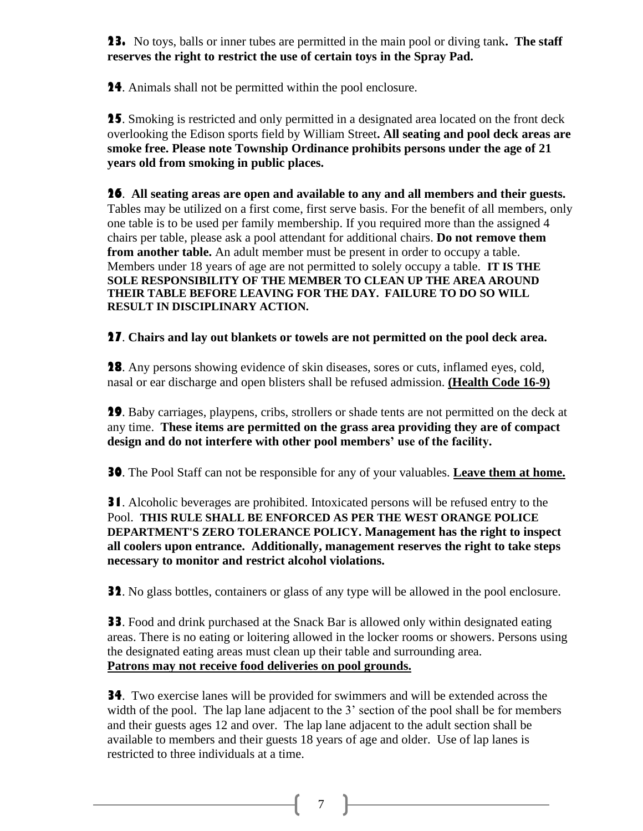**23.** No toys, balls or inner tubes are permitted in the main pool or diving tank**. The staff reserves the right to restrict the use of certain toys in the Spray Pad.**

**24**. Animals shall not be permitted within the pool enclosure.

**25**. Smoking is restricted and only permitted in a designated area located on the front deck overlooking the Edison sports field by William Street**. All seating and pool deck areas are smoke free. Please note Township Ordinance prohibits persons under the age of 21 years old from smoking in public places.** 

**26**. **All seating areas are open and available to any and all members and their guests.** Tables may be utilized on a first come, first serve basis. For the benefit of all members, only one table is to be used per family membership. If you required more than the assigned 4 chairs per table, please ask a pool attendant for additional chairs. **Do not remove them from another table.** An adult member must be present in order to occupy a table. Members under 18 years of age are not permitted to solely occupy a table. **IT IS THE SOLE RESPONSIBILITY OF THE MEMBER TO CLEAN UP THE AREA AROUND THEIR TABLE BEFORE LEAVING FOR THE DAY. FAILURE TO DO SO WILL RESULT IN DISCIPLINARY ACTION.**

**27**. **Chairs and lay out blankets or towels are not permitted on the pool deck area.**

**28**. Any persons showing evidence of skin diseases, sores or cuts, inflamed eyes, cold, nasal or ear discharge and open blisters shall be refused admission. **(Health Code 16-9)**

**29**. Baby carriages, playpens, cribs, strollers or shade tents are not permitted on the deck at any time. **These items are permitted on the grass area providing they are of compact design and do not interfere with other pool members' use of the facility.**

**30**. The Pool Staff can not be responsible for any of your valuables. **Leave them at home.**

**31**. Alcoholic beverages are prohibited. Intoxicated persons will be refused entry to the Pool. **THIS RULE SHALL BE ENFORCED AS PER THE WEST ORANGE POLICE DEPARTMENT'S ZERO TOLERANCE POLICY. Management has the right to inspect all coolers upon entrance. Additionally, management reserves the right to take steps necessary to monitor and restrict alcohol violations.**

**32.** No glass bottles, containers or glass of any type will be allowed in the pool enclosure.

**33**. Food and drink purchased at the Snack Bar is allowed only within designated eating areas. There is no eating or loitering allowed in the locker rooms or showers. Persons using the designated eating areas must clean up their table and surrounding area. **Patrons may not receive food deliveries on pool grounds.**

**34**. Two exercise lanes will be provided for swimmers and will be extended across the width of the pool. The lap lane adjacent to the 3' section of the pool shall be for members and their guests ages 12 and over. The lap lane adjacent to the adult section shall be available to members and their guests 18 years of age and older. Use of lap lanes is restricted to three individuals at a time.

 $\begin{bmatrix} 7 \end{bmatrix}$